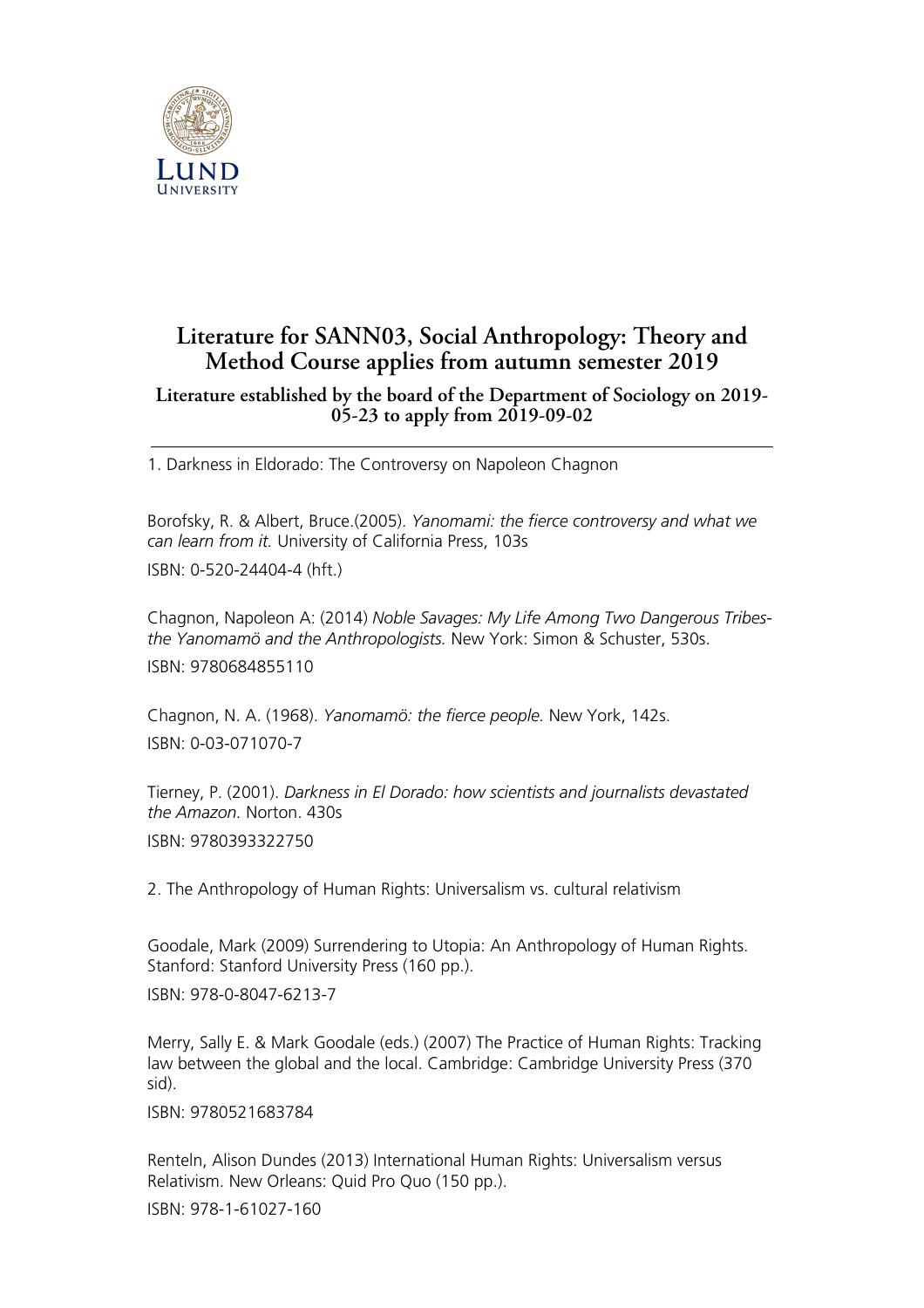

## **Literature for SANN03, Social Anthropology: Theory and Method Course applies from autumn semester 2019**

## **Literature established by the board of the Department of Sociology on 2019- 05-23 to apply from 2019-09-02**

1. Darkness in Eldorado: The Controversy on Napoleon Chagnon

Borofsky, R. & Albert, Bruce.(2005). *Yanomami: the fierce controversy and what we can learn from it.* University of California Press, 103s ISBN: 0-520-24404-4 (hft.)

Chagnon, Napoleon A: (2014) *Noble Savages: My Life Among Two Dangerous Tribesthe Yanomamö and the Anthropologists.* New York: Simon & Schuster, 530s. ISBN: 9780684855110

Chagnon, N. A. (1968). *Yanomamö: the fierce people.* New York, 142s. ISBN: 0-03-071070-7

Tierney, P. (2001). *Darkness in El Dorado: how scientists and journalists devastated the Amazon.* Norton. 430s ISBN: 9780393322750

2. The Anthropology of Human Rights: Universalism vs. cultural relativism

Goodale, Mark (2009) Surrendering to Utopia: An Anthropology of Human Rights. Stanford: Stanford University Press (160 pp.).

ISBN: 978-0-8047-6213-7

Merry, Sally E. & Mark Goodale (eds.) (2007) The Practice of Human Rights: Tracking law between the global and the local. Cambridge: Cambridge University Press (370 sid).

ISBN: 9780521683784

Renteln, Alison Dundes (2013) International Human Rights: Universalism versus Relativism. New Orleans: Quid Pro Quo (150 pp.).

ISBN: 978-1-61027-160